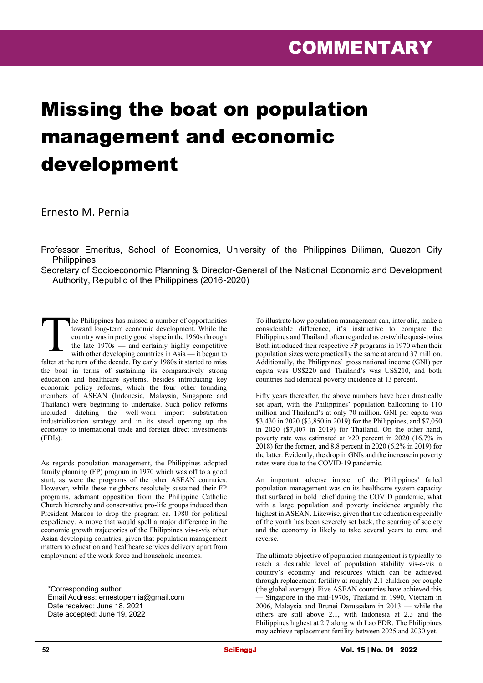## Missing the boat on population management and economic development

Ernesto M. Pernia

Professor Emeritus, School of Economics, University of the Philippines Diliman, Quezon City **Philippines** 

Secretary of Socioeconomic Planning & Director-General of the National Economic and Development Authority, Republic of the Philippines (2016-2020)

he Philippines has missed a number of opportunities toward long-term economic development. While the country was in pretty good shape in the 1960s through the late 1970s — and certainly highly competitive with other developing countries in Asia — it began to falter at the turn of the decade. By early 1980s it started to miss the boat in terms of sustaining its comparatively strong education and healthcare systems, besides introducing key economic policy reforms, which the four other founding members of ASEAN (Indonesia, Malaysia, Singapore and Thailand) were beginning to undertake. Such policy reforms included ditching the well-worn import substitution industrialization strategy and in its stead opening up the economy to international trade and foreign direct investments (FDIs). T

As regards population management, the Philippines adopted family planning (FP) program in 1970 which was off to a good start, as were the programs of the other ASEAN countries. However, while these neighbors resolutely sustained their FP programs, adamant opposition from the Philippine Catholic Church hierarchy and conservative pro-life groups induced then President Marcos to drop the program ca. 1980 for political expediency. A move that would spell a major difference in the economic growth trajectories of the Philippines vis-a-vis other Asian developing countries, given that population management matters to education and healthcare services delivery apart from employment of the work force and household incomes.

\*Corresponding author Email Address: ernestopernia@gmail.com Date received: June 18, 2021 Date accepted: June 19, 2022

To illustrate how population management can, inter alia, make a considerable difference, it's instructive to compare the Philippines and Thailand often regarded as erstwhile quasi-twins. Both introduced their respective FP programs in 1970 when their population sizes were practically the same at around 37 million. Additionally, the Philippines' gross national income (GNI) per capita was US\$220 and Thailand's was US\$210, and both countries had identical poverty incidence at 13 percent.

Fifty years thereafter, the above numbers have been drastically set apart, with the Philippines' population ballooning to 110 million and Thailand's at only 70 million. GNI per capita was \$3,430 in 2020 (\$3,850 in 2019) for the Philippines, and \$7,050 in 2020 (\$7,407 in 2019) for Thailand. On the other hand, poverty rate was estimated at >20 percent in 2020 (16.7% in 2018) for the former, and 8.8 percent in 2020 (6.2% in 2019) for the latter. Evidently, the drop in GNIs and the increase in poverty rates were due to the COVID-19 pandemic.

An important adverse impact of the Philippines' failed population management was on its healthcare system capacity that surfaced in bold relief during the COVID pandemic, what with a large population and poverty incidence arguably the highest in ASEAN. Likewise, given that the education especially of the youth has been severely set back, the scarring of society and the economy is likely to take several years to cure and reverse.

The ultimate objective of population management is typically to reach a desirable level of population stability vis-a-vis a country's economy and resources which can be achieved through replacement fertility at roughly 2.1 children per couple (the global average). Five ASEAN countries have achieved this Singapore in the mid-1970s, Thailand in 1990, Vietnam in 2006, Malaysia and Brunei Darussalam in 2013 — while the others are still above 2.1, with Indonesia at 2.3 and the Philippines highest at 2.7 along with Lao PDR. The Philippines may achieve replacement fertility between 2025 and 2030 yet.